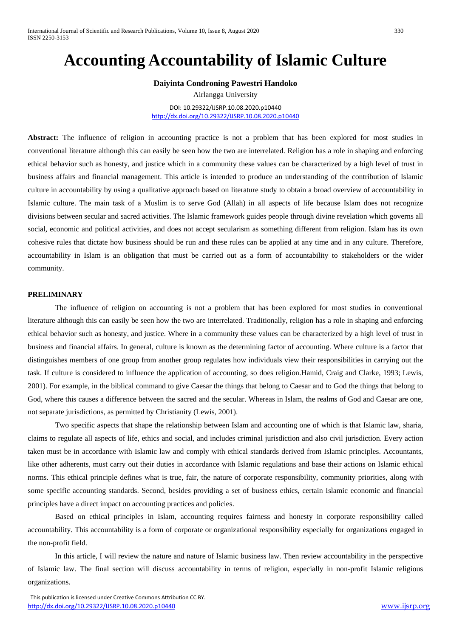# **Accounting Accountability of Islamic Culture**

**Daiyinta Condroning Pawestri Handoko** Airlangga University DOI: 10.29322/IJSRP.10.08.2020.p10440

<http://dx.doi.org/10.29322/IJSRP.10.08.2020.p10440>

**Abstract:** The influence of religion in accounting practice is not a problem that has been explored for most studies in conventional literature although this can easily be seen how the two are interrelated. Religion has a role in shaping and enforcing ethical behavior such as honesty, and justice which in a community these values can be characterized by a high level of trust in business affairs and financial management. This article is intended to produce an understanding of the contribution of Islamic culture in accountability by using a qualitative approach based on literature study to obtain a broad overview of accountability in Islamic culture. The main task of a Muslim is to serve God (Allah) in all aspects of life because Islam does not recognize divisions between secular and sacred activities. The Islamic framework guides people through divine revelation which governs all social, economic and political activities, and does not accept secularism as something different from religion. Islam has its own cohesive rules that dictate how business should be run and these rules can be applied at any time and in any culture. Therefore, accountability in Islam is an obligation that must be carried out as a form of accountability to stakeholders or the wider community.

# **PRELIMINARY**

The influence of religion on accounting is not a problem that has been explored for most studies in conventional literature although this can easily be seen how the two are interrelated. Traditionally, religion has a role in shaping and enforcing ethical behavior such as honesty, and justice. Where in a community these values can be characterized by a high level of trust in business and financial affairs. In general, culture is known as the determining factor of accounting. Where culture is a factor that distinguishes members of one group from another group regulates how individuals view their responsibilities in carrying out the task. If culture is considered to influence the application of accounting, so does religion.Hamid, Craig and Clarke, 1993; Lewis, 2001). For example, in the biblical command to give Caesar the things that belong to Caesar and to God the things that belong to God, where this causes a difference between the sacred and the secular. Whereas in Islam, the realms of God and Caesar are one, not separate jurisdictions, as permitted by Christianity (Lewis, 2001).

Two specific aspects that shape the relationship between Islam and accounting one of which is that Islamic law, sharia, claims to regulate all aspects of life, ethics and social, and includes criminal jurisdiction and also civil jurisdiction. Every action taken must be in accordance with Islamic law and comply with ethical standards derived from Islamic principles. Accountants, like other adherents, must carry out their duties in accordance with Islamic regulations and base their actions on Islamic ethical norms. This ethical principle defines what is true, fair, the nature of corporate responsibility, community priorities, along with some specific accounting standards. Second, besides providing a set of business ethics, certain Islamic economic and financial principles have a direct impact on accounting practices and policies.

Based on ethical principles in Islam, accounting requires fairness and honesty in corporate responsibility called accountability. This accountability is a form of corporate or organizational responsibility especially for organizations engaged in the non-profit field.

In this article, I will review the nature and nature of Islamic business law. Then review accountability in the perspective of Islamic law. The final section will discuss accountability in terms of religion, especially in non-profit Islamic religious organizations.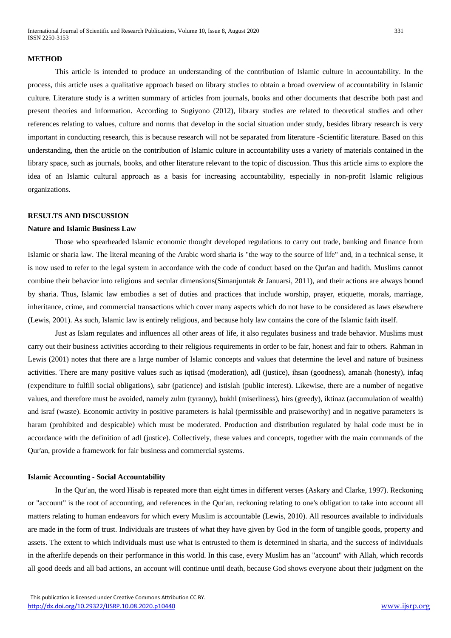#### **METHOD**

This article is intended to produce an understanding of the contribution of Islamic culture in accountability. In the process, this article uses a qualitative approach based on library studies to obtain a broad overview of accountability in Islamic culture. Literature study is a written summary of articles from journals, books and other documents that describe both past and present theories and information. According to Sugiyono (2012), library studies are related to theoretical studies and other references relating to values, culture and norms that develop in the social situation under study, besides library research is very important in conducting research, this is because research will not be separated from literature -Scientific literature. Based on this understanding, then the article on the contribution of Islamic culture in accountability uses a variety of materials contained in the library space, such as journals, books, and other literature relevant to the topic of discussion. Thus this article aims to explore the idea of an Islamic cultural approach as a basis for increasing accountability, especially in non-profit Islamic religious organizations.

## **RESULTS AND DISCUSSION**

#### **Nature and Islamic Business Law**

Those who spearheaded Islamic economic thought developed regulations to carry out trade, banking and finance from Islamic or sharia law. The literal meaning of the Arabic word sharia is "the way to the source of life" and, in a technical sense, it is now used to refer to the legal system in accordance with the code of conduct based on the Qur'an and hadith. Muslims cannot combine their behavior into religious and secular dimensions(Simanjuntak & Januarsi, 2011), and their actions are always bound by sharia. Thus, Islamic law embodies a set of duties and practices that include worship, prayer, etiquette, morals, marriage, inheritance, crime, and commercial transactions which cover many aspects which do not have to be considered as laws elsewhere (Lewis, 2001). As such, Islamic law is entirely religious, and because holy law contains the core of the Islamic faith itself.

Just as Islam regulates and influences all other areas of life, it also regulates business and trade behavior. Muslims must carry out their business activities according to their religious requirements in order to be fair, honest and fair to others. Rahman in Lewis (2001) notes that there are a large number of Islamic concepts and values that determine the level and nature of business activities. There are many positive values such as iqtisad (moderation), adl (justice), ihsan (goodness), amanah (honesty), infaq (expenditure to fulfill social obligations), sabr (patience) and istislah (public interest). Likewise, there are a number of negative values, and therefore must be avoided, namely zulm (tyranny), bukhl (miserliness), hirs (greedy), iktinaz (accumulation of wealth) and israf (waste). Economic activity in positive parameters is halal (permissible and praiseworthy) and in negative parameters is haram (prohibited and despicable) which must be moderated. Production and distribution regulated by halal code must be in accordance with the definition of adl (justice). Collectively, these values and concepts, together with the main commands of the Qur'an, provide a framework for fair business and commercial systems.

#### **Islamic Accounting - Social Accountability**

In the Qur'an, the word Hisab is repeated more than eight times in different verses (Askary and Clarke, 1997). Reckoning or "account" is the root of accounting, and references in the Qur'an, reckoning relating to one's obligation to take into account all matters relating to human endeavors for which every Muslim is accountable (Lewis, 2010). All resources available to individuals are made in the form of trust. Individuals are trustees of what they have given by God in the form of tangible goods, property and assets. The extent to which individuals must use what is entrusted to them is determined in sharia, and the success of individuals in the afterlife depends on their performance in this world. In this case, every Muslim has an "account" with Allah, which records all good deeds and all bad actions, an account will continue until death, because God shows everyone about their judgment on the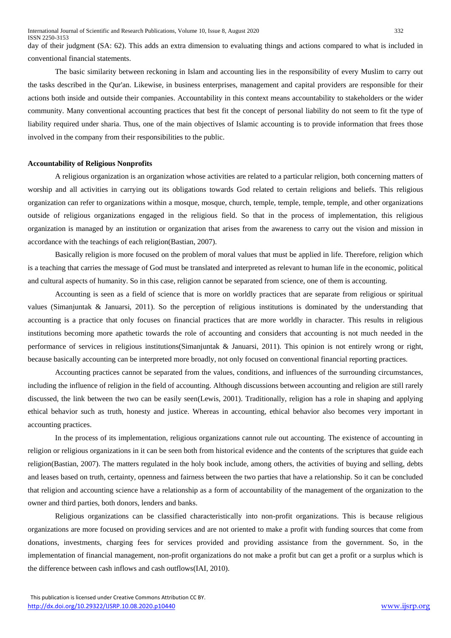day of their judgment (SA: 62). This adds an extra dimension to evaluating things and actions compared to what is included in conventional financial statements.

The basic similarity between reckoning in Islam and accounting lies in the responsibility of every Muslim to carry out the tasks described in the Qur'an. Likewise, in business enterprises, management and capital providers are responsible for their actions both inside and outside their companies. Accountability in this context means accountability to stakeholders or the wider community. Many conventional accounting practices that best fit the concept of personal liability do not seem to fit the type of liability required under sharia. Thus, one of the main objectives of Islamic accounting is to provide information that frees those involved in the company from their responsibilities to the public.

# **Accountability of Religious Nonprofits**

A religious organization is an organization whose activities are related to a particular religion, both concerning matters of worship and all activities in carrying out its obligations towards God related to certain religions and beliefs. This religious organization can refer to organizations within a mosque, mosque, church, temple, temple, temple, temple, and other organizations outside of religious organizations engaged in the religious field. So that in the process of implementation, this religious organization is managed by an institution or organization that arises from the awareness to carry out the vision and mission in accordance with the teachings of each religion[\(Bastian, 2007\)](#page-4-0).

Basically religion is more focused on the problem of moral values that must be applied in life. Therefore, religion which is a teaching that carries the message of God must be translated and interpreted as relevant to human life in the economic, political and cultural aspects of humanity. So in this case, religion cannot be separated from science, one of them is accounting.

Accounting is seen as a field of science that is more on worldly practices that are separate from religious or spiritual values (Simanjuntak & Januarsi, 2011). So the perception of religious institutions is dominated by the understanding that accounting is a practice that only focuses on financial practices that are more worldly in character. This results in religious institutions becoming more apathetic towards the role of accounting and considers that accounting is not much needed in the performance of services in religious institutions(Simanjuntak & Januarsi, 2011). This opinion is not entirely wrong or right, because basically accounting can be interpreted more broadly, not only focused on conventional financial reporting practices.

Accounting practices cannot be separated from the values, conditions, and influences of the surrounding circumstances, including the influence of religion in the field of accounting. Although discussions between accounting and religion are still rarely discussed, the link between the two can be easily seen[\(Lewis, 2001\)](#page-4-1). Traditionally, religion has a role in shaping and applying ethical behavior such as truth, honesty and justice. Whereas in accounting, ethical behavior also becomes very important in accounting practices.

In the process of its implementation, religious organizations cannot rule out accounting. The existence of accounting in religion or religious organizations in it can be seen both from historical evidence and the contents of the scriptures that guide each religion[\(Bastian, 2007\)](#page-4-0). The matters regulated in the holy book include, among others, the activities of buying and selling, debts and leases based on truth, certainty, openness and fairness between the two parties that have a relationship. So it can be concluded that religion and accounting science have a relationship as a form of accountability of the management of the organization to the owner and third parties, both donors, lenders and banks.

Religious organizations can be classified characteristically into non-profit organizations. This is because religious organizations are more focused on providing services and are not oriented to make a profit with funding sources that come from donations, investments, charging fees for services provided and providing assistance from the government. So, in the implementation of financial management, non-profit organizations do not make a profit but can get a profit or a surplus which is the difference between cash inflows and cash outflows[\(IAI, 2010\)](#page-4-0).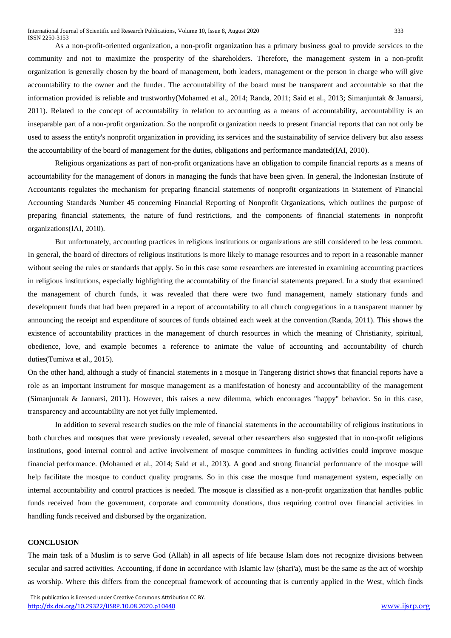As a non-profit-oriented organization, a non-profit organization has a primary business goal to provide services to the community and not to maximize the prosperity of the shareholders. Therefore, the management system in a non-profit organization is generally chosen by the board of management, both leaders, management or the person in charge who will give accountability to the owner and the funder. The accountability of the board must be transparent and accountable so that the information provided is reliable and trustworthy[\(Mohamed et al., 2014;](#page-4-2) [Randa, 2011;](#page-4-3) [Said et al., 2013;](#page-4-4) Simanjuntak & Januarsi, 2011). Related to the concept of accountability in relation to accounting as a means of accountability, accountability is an inseparable part of a non-profit organization. So the nonprofit organization needs to present financial reports that can not only be used to assess the entity's nonprofit organization in providing its services and the sustainability of service delivery but also assess the accountability of the board of management for the duties, obligations and performance mandated[\(IAI, 2010\)](#page-4-0).

Religious organizations as part of non-profit organizations have an obligation to compile financial reports as a means of accountability for the management of donors in managing the funds that have been given. In general, the Indonesian Institute of Accountants regulates the mechanism for preparing financial statements of nonprofit organizations in Statement of Financial Accounting Standards Number 45 concerning Financial Reporting of Nonprofit Organizations, which outlines the purpose of preparing financial statements, the nature of fund restrictions, and the components of financial statements in nonprofit organizations[\(IAI, 2010\)](#page-4-0).

But unfortunately, accounting practices in religious institutions or organizations are still considered to be less common. In general, the board of directors of religious institutions is more likely to manage resources and to report in a reasonable manner without seeing the rules or standards that apply. So in this case some researchers are interested in examining accounting practices in religious institutions, especially highlighting the accountability of the financial statements prepared. In a study that examined the management of church funds, it was revealed that there were two fund management, namely stationary funds and development funds that had been prepared in a report of accountability to all church congregations in a transparent manner by announcing the receipt and expenditure of sources of funds obtained each week at the convention.[\(Randa, 2011\)](#page-4-3). This shows the existence of accountability practices in the management of church resources in which the meaning of Christianity, spiritual, obedience, love, and example becomes a reference to animate the value of accounting and accountability of church duties[\(Tumiwa et al., 2015\)](#page-4-5).

On the other hand, although a study of financial statements in a mosque in Tangerang district shows that financial reports have a role as an important instrument for mosque management as a manifestation of honesty and accountability of the management (Simanjuntak & Januarsi, 2011). However, this raises a new dilemma, which encourages "happy" behavior. So in this case, transparency and accountability are not yet fully implemented.

In addition to several research studies on the role of financial statements in the accountability of religious institutions in both churches and mosques that were previously revealed, several other researchers also suggested that in non-profit religious institutions, good internal control and active involvement of mosque committees in funding activities could improve mosque financial performance. [\(Mohamed et al., 2014;](#page-4-2) [Said et al., 2013\)](#page-4-4). A good and strong financial performance of the mosque will help facilitate the mosque to conduct quality programs. So in this case the mosque fund management system, especially on internal accountability and control practices is needed. The mosque is classified as a non-profit organization that handles public funds received from the government, corporate and community donations, thus requiring control over financial activities in handling funds received and disbursed by the organization.

## **CONCLUSION**

The main task of a Muslim is to serve God (Allah) in all aspects of life because Islam does not recognize divisions between secular and sacred activities. Accounting, if done in accordance with Islamic law (shari'a), must be the same as the act of worship as worship. Where this differs from the conceptual framework of accounting that is currently applied in the West, which finds